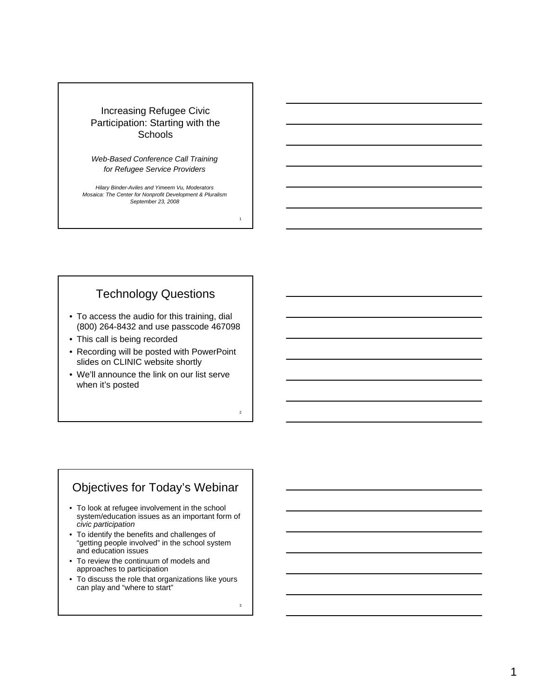#### Increasing Refugee Civic Participation: Starting with the **Schools**

*Web-Based Conference Call Training for Refugee Service Providers*

*Hilary Binder-Aviles and Yimeem Vu, Moderators Mosaica: The Center for Nonprofit Development & Pluralism September 23, 2008*

## Technology Questions

- To access the audio for this training, dial (800) 264-8432 and use passcode 467098
- This call is being recorded
- Recording will be posted with PowerPoint slides on CLINIC website shortly
- We'll announce the link on our list serve when it's posted

## Objectives for Today's Webinar

- To look at refugee involvement in the school system/education issues as an important form of *civic participation*
- To identify the benefits and challenges of "getting people involved" in the school system and education issues
- To review the continuum of models and approaches to participation
- To discuss the role that organizations like yours can play and "where to start"

3

1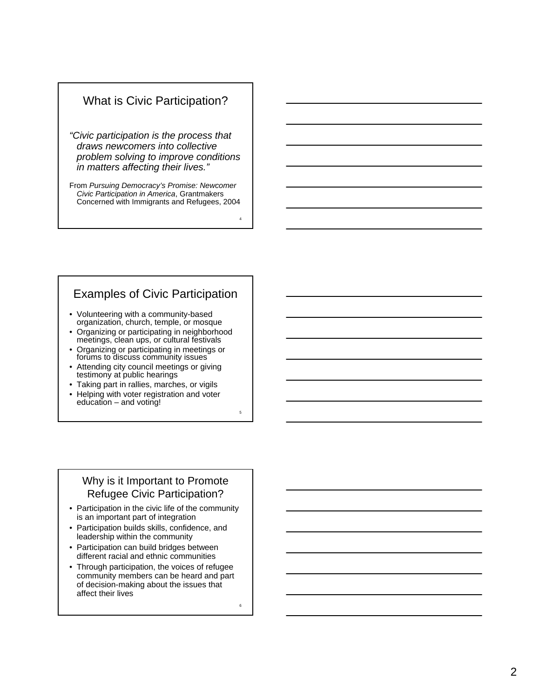## What is Civic Participation?

*"Civic participation is the process that draws newcomers into collective problem solving to improve conditions in matters affecting their lives."*

From *Pursuing Democracy's Promise: Newcomer Civic Participation in America*, Grantmakers

## Examples of Civic Participation

- Volunteering with a community-based organization, church, temple, or mosque
- Concerned with Immigrants and Refugees, 2004<br>
Internal of Civic Participation<br>
Volunteering with a community-based<br>
organization, church, temple, or mosque<br>
Organizing or participating in meighborhood<br>
Organizing or partic • Organizing or participating in neighborhood meetings, clean ups, or cultural festivals • Organizing or participating in meetings or
- forums to discuss community issues
- Attending city council meetings or giving testimony at public hearings
- Taking part in rallies, marches, or vigils
- Helping with voter registration and voter education – and voting!

#### Why is it Important to Promote Refugee Civic Participation?

- Participation in the civic life of the community is an important part of integration
- Participation builds skills, confidence, and leadership within the community
- Participation can build bridges between different racial and ethnic communities
- Through participation, the voices of refugee community members can be heard and part of decision-making about the issues that affect their lives

6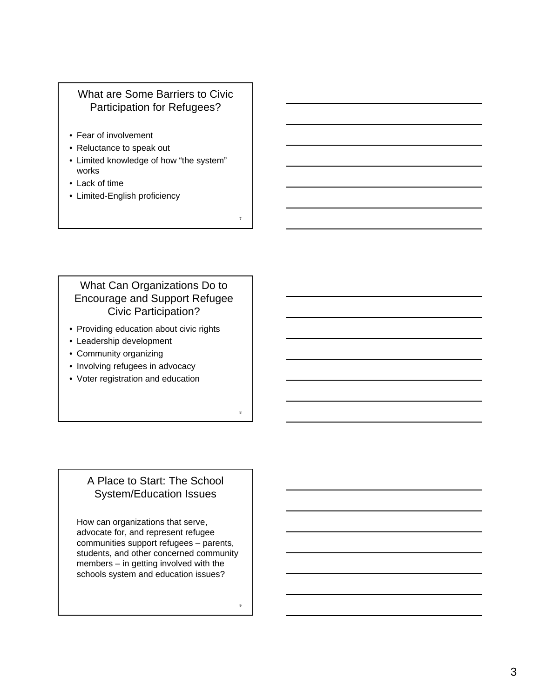## What are Some Barriers to Civic Participation for Refugees?

- Fear of involvement
- Reluctance to speak out
- Limited knowledge of how "the system" works
- Lack of time
- Limited-English proficiency

## What Can Organizations Do to Encourage and Support Refugee Civic Participation?

- Providing education about civic rights
- Leadership development
- Community organizing
- Involving refugees in advocacy
- Voter registration and education

## A Place to Start: The School System/Education Issues

How can organizations that serve, advocate for, and represent refugee communities support refugees – parents, students, and other concerned community members – in getting involved with the schools system and education issues?

7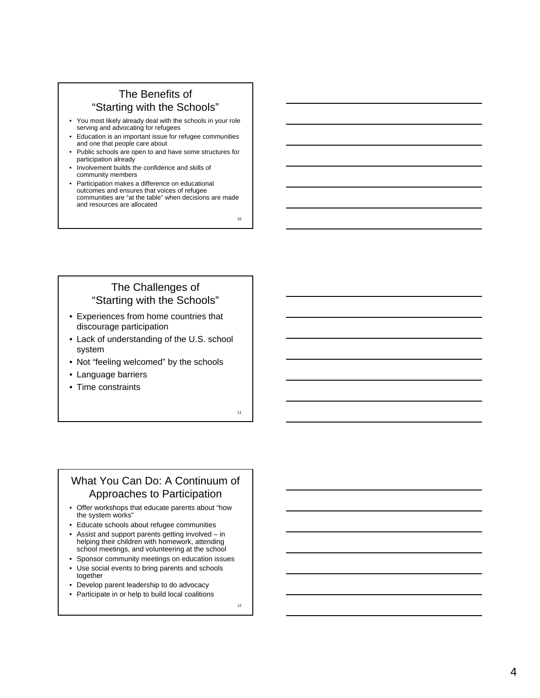#### The Benefits of "Starting with the Schools"

- You most likely already deal with the schools in your role serving and advocating for refugees
- Education is an important issue for refugee communities and one that people care about
- Public schools are open to and have some structures for participation already
- Involvement builds the confidence and skills of community members
- Participation makes a difference on educational outcomes and ensures that voices of refugee communities are "at the table" when decisions are made and resources are allocated

10

#### The Challenges of "Starting with the Schools"

- Experiences from home countries that discourage participation
- Lack of understanding of the U.S. school system
- Not "feeling welcomed" by the schools
- Language barriers
- Time constraints

11

#### What You Can Do: A Continuum of Approaches to Participation

- Offer workshops that educate parents about "how the system works"
- Educate schools about refugee communities
- Assist and support parents getting involved in helping their children with homework, attending school meetings, and volunteering at the school
- Sponsor community meetings on education issues
- Use social events to bring parents and schools together
- Develop parent leadership to do advocacy
- Participate in or help to build local coalitions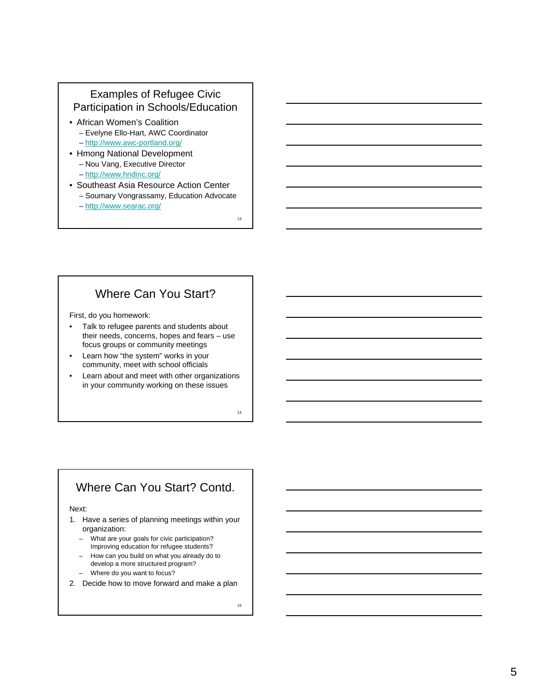#### Examples of Refugee Civic Participation in Schools/Education

- African Women's Coalition
	- Evelyne Ello-Hart, AWC Coordinator
	- http://www.awc-portland.org/
- Hmong National Development – Nou Vang, Executive Director – http://www.hndinc.org/
- Southeast Asia Resource Action Center – Soumary Vongrassamy, Education Advocate
	- http://www.searac.org/

## Where Can You Start?

First, do you homework:

- Talk to refugee parents and students about their needs, concerns, hopes and fears – use focus groups or community meetings
- Learn how "the system" works in your community, meet with school officials
- Learn about and meet with other organizations in your community working on these issues

# Where Can You Start? Contd.

#### Next:

- 1. Have a series of planning meetings within your organization:
	- What are your goals for civic participation? Improving education for refugee students?
	- How can you build on what you already do to develop a more structured program?
	- Where do you want to focus?
- 2. Decide how to move forward and make a plan

13